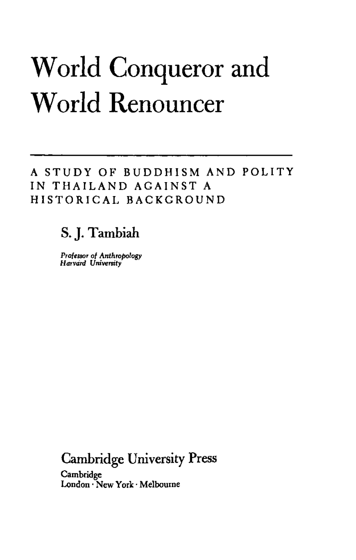## World Conqueror and World Renouncer

**A STUDY OF BUDDHISM AND POLITY IN THAILAND AGAINST A HISTORICAL BACKGROUND**

## S. J. Tambiah

*Professor of Anthropology Harvard University*

Cambridge University Press

**Cambridge London • New York • Melbourne**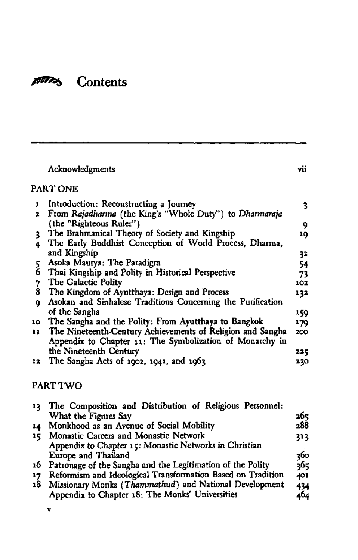## 100025 Contents

|               | Acknowledgments                                             | vii  |  |  |  |
|---------------|-------------------------------------------------------------|------|--|--|--|
| PART ONE      |                                                             |      |  |  |  |
| 1             | Introduction: Reconstructing a Journey                      | 3    |  |  |  |
| 2.            | From Rajadharma (the King's "Whole Duty") to Dharmaraja     |      |  |  |  |
|               | (the "Righteous Ruler")                                     | 9    |  |  |  |
| 3.            | The Brahmanical Theory of Society and Kingship              | 10   |  |  |  |
| 4             | The Early Buddhist Conception of World Process, Dharma,     |      |  |  |  |
|               | and Kingship                                                | 32   |  |  |  |
| 5.            | Asoka Maurya: The Paradigm                                  | 54   |  |  |  |
| 6             | Thai Kingship and Polity in Historical Perspective          | 73   |  |  |  |
|               | The Galactic Polity                                         | 102  |  |  |  |
| $\frac{7}{8}$ | The Kingdom of Ayutthaya: Design and Process                | 132  |  |  |  |
| ۰             | Asokan and Sinhalese Traditions Concerning the Purification |      |  |  |  |
|               | of the Sangha                                               | 159. |  |  |  |
| 10            | The Sangha and the Polity: From Ayutthaya to Bangkok        | 179  |  |  |  |
| 11            | The Nineteenth-Century Achievements of Religion and Sangha  | 200  |  |  |  |
|               | Appendix to Chapter 11: The Symbolization of Monarchy in    |      |  |  |  |
|               | the Nineteenth Century                                      | 225  |  |  |  |
| 12            | The Sangha Acts of 1902, 1941, and 1963                     | 230  |  |  |  |

## **PART TWO**

|    | 13 The Composition and Distribution of Religious Personnel:   |      |
|----|---------------------------------------------------------------|------|
|    | What the Figures Say                                          | 2бς  |
| 14 | Monkhood as an Avenue of Social Mobility                      | 288  |
| 15 | Monastic Careers and Monastic Network                         | 313. |
|    | Appendix to Chapter 15: Monastic Networks in Christian        |      |
|    | Europe and Thailand                                           | 360  |
|    | 16 Patronage of the Sangha and the Legitimation of the Polity | 365  |
| 17 | Reformism and Ideological Transformation Based on Tradition   | 401  |
|    | 18 Missionary Monks (Thammathud) and National Development     | 434  |
|    | Appendix to Chapter 18: The Monks' Universities               | 464  |

V